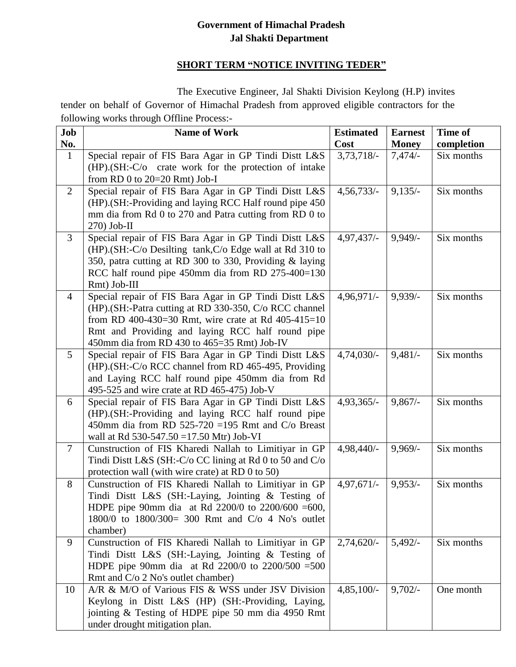## **Government of Himachal Pradesh Jal Shakti Department**

## **SHORT TERM "NOTICE INVITING TEDER"**

 The Executive Engineer, Jal Shakti Division Keylong (H.P) invites tender on behalf of Governor of Himachal Pradesh from approved eligible contractors for the following works through Offline Process:-

| Job<br>No.      | <b>Name of Work</b>                                                                                                                                                                                                                                                        | <b>Estimated</b><br>Cost | <b>Earnest</b><br><b>Money</b> | Time of<br>completion |
|-----------------|----------------------------------------------------------------------------------------------------------------------------------------------------------------------------------------------------------------------------------------------------------------------------|--------------------------|--------------------------------|-----------------------|
| $\mathbf{1}$    | Special repair of FIS Bara Agar in GP Tindi Distt L&S<br>(HP).(SH:-C/o crate work for the protection of intake<br>from RD 0 to $20=20$ Rmt) Job-I                                                                                                                          | $3,73,718/-$             | 7,474/                         | Six months            |
| $\overline{2}$  | Special repair of FIS Bara Agar in GP Tindi Distt L&S<br>(HP).(SH:-Providing and laying RCC Half round pipe 450<br>mm dia from Rd 0 to 270 and Patra cutting from RD 0 to<br>$270$ ) Job-II                                                                                | $4,56,733/-$             | $9,135/-$                      | Six months            |
| 3               | Special repair of FIS Bara Agar in GP Tindi Distt L&S<br>(HP).(SH:-C/o Desilting tank, C/o Edge wall at Rd 310 to<br>350, patra cutting at RD 300 to 330, Providing & laying<br>RCC half round pipe 450mm dia from RD 275-400=130<br>Rmt) Job-III                          | $4,97,437/-$             | $9,949/$ -                     | Six months            |
| $\overline{4}$  | Special repair of FIS Bara Agar in GP Tindi Distt L&S<br>(HP). (SH:-Patra cutting at RD 330-350, C/o RCC channel<br>from RD 400-430=30 Rmt, wire crate at Rd 405-415=10<br>Rmt and Providing and laying RCC half round pipe<br>450mm dia from RD 430 to 465=35 Rmt) Job-IV | 4,96,971/-               | $9,939/-$                      | Six months            |
| $5\overline{)}$ | Special repair of FIS Bara Agar in GP Tindi Distt L&S<br>(HP).(SH:-C/o RCC channel from RD 465-495, Providing<br>and Laying RCC half round pipe 450mm dia from Rd<br>495-525 and wire crate at RD 465-475) Job-V                                                           | $4,74,030/-$             | 9,481/                         | Six months            |
| 6               | Special repair of FIS Bara Agar in GP Tindi Distt L&S<br>(HP). (SH:-Providing and laying RCC half round pipe<br>450mm dia from RD 525-720 = 195 Rmt and C/o Breast<br>wall at Rd 530-547.50 = 17.50 Mtr) Job-VI                                                            | $4,93,365/-$             | $9,867/-$                      | Six months            |
| 7               | Cunstruction of FIS Kharedi Nallah to Limitiyar in GP<br>Tindi Distt L&S (SH:-C/o CC lining at Rd 0 to 50 and C/o<br>protection wall (with wire crate) at RD 0 to 50)                                                                                                      | 4,98,440/-               | $9,969/$ -                     | Six months            |
| 8               | Cunstruction of FIS Kharedi Nallah to Limitiyar in GP<br>Tindi Distt L&S (SH:-Laying, Jointing & Testing of<br>HDPE pipe 90mm dia at Rd 2200/0 to 2200/600 = 600,<br>1800/0 to 1800/300= 300 Rmt and C/o 4 No's outlet<br>chamber)                                         | $4,97,671/-$             | $9,953/-$                      | Six months            |
| 9               | Cunstruction of FIS Kharedi Nallah to Limitiyar in GP<br>Tindi Distt L&S (SH:-Laying, Jointing & Testing of<br>HDPE pipe 90mm dia at Rd $2200/0$ to $2200/500 = 500$<br>Rmt and C/o 2 No's outlet chamber)                                                                 | $2,74,620/-$             | 5,492/                         | Six months            |
| 10              | A/R & M/O of Various FIS & WSS under JSV Division<br>Keylong in Distt L&S (HP) (SH:-Providing, Laying,<br>jointing & Testing of HDPE pipe 50 mm dia 4950 Rmt<br>under drought mitigation plan.                                                                             | $4,85,100/-$             | $9,702/-$                      | One month             |